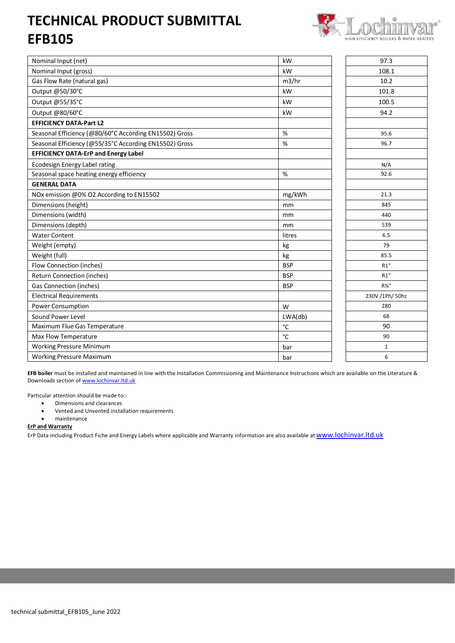## **TECHNICAL PRODUCT SUBMITTAL EFB105**



| Nominal Input (net)                                    | kW           | 97.3             |
|--------------------------------------------------------|--------------|------------------|
| Nominal Input (gross)                                  | kW           | 108.1            |
| Gas Flow Rate (natural gas)                            | m3/hr        | 10.2             |
| Output @50/30°C                                        | kW           | 101.8            |
| Output @55/35°C                                        | kW           | 100.5            |
| Output @80/60°C                                        | kW           | 94.2             |
| <b>EFFICIENCY DATA-Part L2</b>                         |              |                  |
| Seasonal Efficiency (@80/60°C According EN15502) Gross | $\%$         | 95.6             |
| Seasonal Efficiency (@55/35°C According EN15502) Gross | %            | 96.7             |
| <b>EFFICIENCY DATA-ErP and Energy Label</b>            |              |                  |
| Ecodesign Energy Label rating                          |              | N/A              |
| Seasonal space heating energy efficiency               | %            | 92.6             |
| <b>GENERAL DATA</b>                                    |              |                  |
| NOx emission @0% O2 According to EN15502               | mg/kWh       | 21.3             |
| Dimensions (height)                                    | mm           | 845              |
| Dimensions (width)                                     | mm           | 440              |
| Dimensions (depth)                                     | mm           | 539              |
| <b>Water Content</b>                                   | litres       | 6.5              |
| Weight (empty)                                         | kg           | 79               |
| Weight (full)                                          | kg           | 85.5             |
| Flow Connection (inches)                               | <b>BSP</b>   | R1"              |
| <b>Return Connection (inches)</b>                      | <b>BSP</b>   | R1"              |
| <b>Gas Connection (inches)</b>                         | <b>BSP</b>   | $R\frac{3}{4}$ " |
| <b>Electrical Requirements</b>                         |              | 230V /1Ph/ 50hz  |
| Power Consumption                                      | W            | 280              |
| Sound Power Level                                      | LWA(db)      | 68               |
| Maximum Flue Gas Temperature                           | $^{\circ}$ C | 90               |
| Max Flow Temperature                                   | °C           | 90               |
| <b>Working Pressure Minimum</b>                        | bar          | $\mathbf{1}$     |
| <b>Working Pressure Maximum</b>                        | bar          | 6                |

**EFB boiler** must be installed and maintained in line with the Installation Commissioning and Maintenance Instructions which are available on the Literature & Downloads section of [www.lochinvar.ltd.uk](http://www.lochinvar.ltd.uk/)

Particular attention should be made to:-

- Dimensions and clearances
- Vented and Unvented installation requirements
- maintenance

## **ErP and Warranty**

ErP Data including Product Fiche and Energy Labels where applicable and Warranty information are also available at [www.lochinvar.ltd.uk](http://www.lochinvar.ltd.uk/)